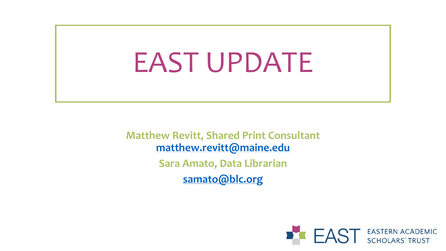# EAST UPDATE

**Matthew Revitt, Shared Print Consultant [matthew.revitt@maine.edu](mailto:matthew.revitt@maine.edu) Sara Amato, Data Librarian [samato@blc.org](mailto:samato@blc.org)**

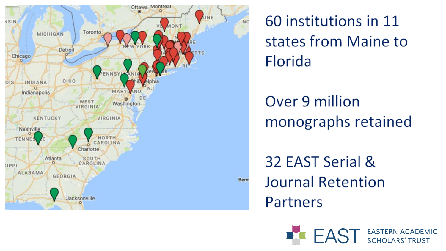

60 institutions in 11 states from Maine to **Florida** 

#### Over 9 million monographs retained

32 EAST Serial & **Journal Retention** Partners

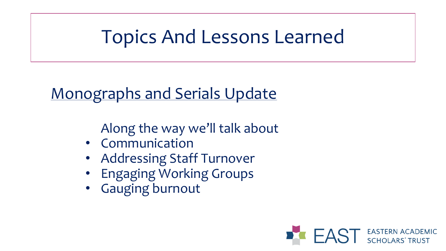#### Topics And Lessons Learned

#### Monographs and Serials Update

Along the way we'll talk about

- Communication
- Addressing Staff Turnover
- Engaging Working Groups
- Gauging burnout

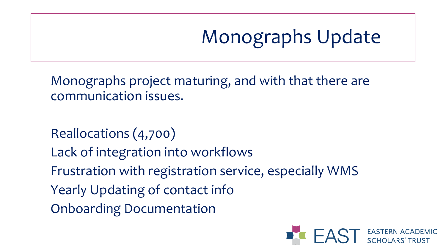# Monographs Update

Monographs project maturing, and with that there are communication issues.

Reallocations (4,700)

Lack of integration into workflows

Frustration with registration service, especially WMS

Yearly Updating of contact info

Onboarding Documentation

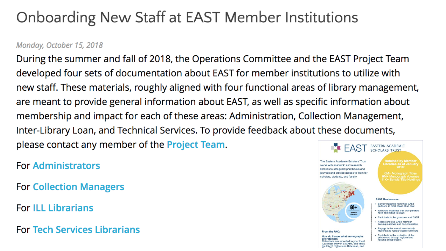#### **Onboarding New Staff at EAST Member Institutions**

#### Monday, October 15, 2018

During the summer and fall of 2018, the Operations Committee and the EAST Project Team developed four sets of documentation about EAST for member institutions to utilize with<br>new staff. These materials, roughly aligned with four functional areas of library management, are meant to provide general information about EAST, as well as specific information about membership and impact for each of these areas: Administration, Collection Management, Inter-Library Loan, and Technical Services. To provide feedback about these documents, please contact any member of the **Project Team. EASTERN ACADEMIC** 

**For Collection Managers** 

**For ILL Librarians** 

**For Tech Services Librarians** 

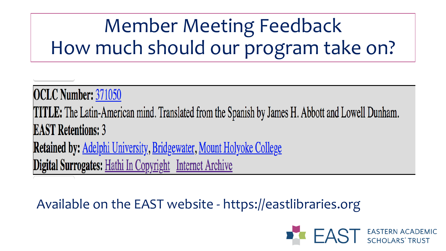# Member Meeting Feedback How much should our program take on?

**OCLC Number: 371050 TITLE:** The Latin-American mind. Translated from the Spanish by James H. Abbott and Lowell Dunham. **EAST Retentions: 3 Retained by:** Adelphi University, Bridgewater, Mount Holyoke College Digital Surrogates: Hathi In Copyright Internet Archive

#### Available on the EAST website - https://eastlibraries.org

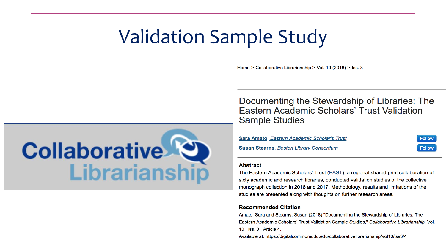#### Validation Sample Study

Home > Collaborative Librarianship > Vol. 10 (2018) > Iss. 3



Documenting the Stewardship of Libraries: The Eastern Academic Scholars' Trust Validation **Sample Studies** 

**Follow** 

**Follow** 

Sara Amato, Eastern Academic Scholar's Trust

**Susan Stearns, Boston Library Consortium** 

#### **Abstract**

The Eastern Academic Scholars' Trust (EAST), a regional shared print collaboration of sixty academic and research libraries, conducted validation studies of the collective monograph collection in 2016 and 2017. Methodology, results and limitations of the studies are presented along with thoughts on further research areas.

#### **Recommended Citation**

Amato, Sara and Stearns, Susan (2018) "Documenting the Stewardship of Libraries: The Eastern Academic Scholars' Trust Validation Sample Studies," Collaborative Librarianship: Vol. 10 : Iss. 3, Article 4.

Available at: https://digitalcommons.du.edu/collaborativelibrarianship/vol10/iss3/4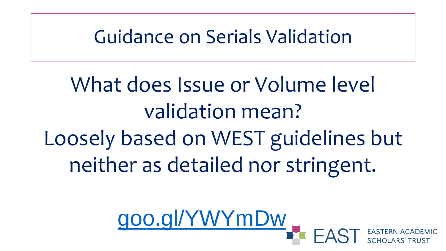Guidance on Serials Validation

What does Issue or Volume level validation mean? Loosely based on WEST guidelines but neither as detailed nor stringent.

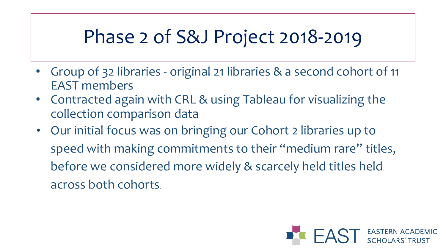### Phase 2 of S&J Project 2018-2019

- Group of 32 libraries original 21 libraries & a second cohort of 11 EAST members
- Contracted again with CRL & using Tableau for visualizing the collection comparison data
- Our initial focus was on bringing our Cohort 2 libraries up to speed with making commitments to their "medium rare" titles, before we considered more widely & scarcely held titles held across both cohorts.

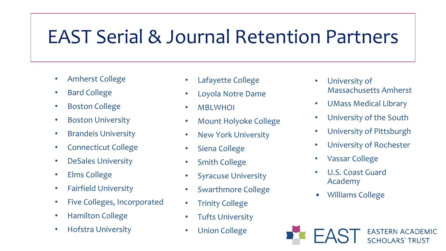### EAST Serial & Journal Retention Partners

- Amherst College
- Bard College
- Boston College
- Boston University
- Brandeis University
- Connecticut College
- DeSales University
- Elms College
- Fairfield University
- Five Colleges, Incorporated
- Hamilton College
- Hofstra University
- Lafayette College
- Loyola Notre Dame
- MBLWHOI
- Mount Holyoke College
- New York University
- Siena College
- Smith College
- **Syracuse University**
- Swarthmore College
- **Trinity College**
- **Tufts University**
- Union College
- University of Massachusetts Amherst
- UMass Medical Library
- University of the South
- University of Pittsburgh
- University of Rochester
- Vassar College
- U.S. Coast Guard Academy
- Williams College

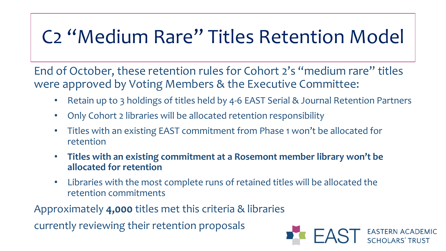## C2 "Medium Rare" Titles Retention Model

End of October, these retention rules for Cohort 2's "medium rare" titles were approved by Voting Members & the Executive Committee:

- Retain up to 3 holdings of titles held by 4-6 EAST Serial & Journal Retention Partners
- Only Cohort 2 libraries will be allocated retention responsibility
- Titles with an existing EAST commitment from Phase 1 won't be allocated for retention
- **Titles with an existing commitment at a Rosemont member library won't be allocated for retention**
- Libraries with the most complete runs of retained titles will be allocated the retention commitments

Approximately **4,000** titles met this criteria & libraries

currently reviewing their retention proposals

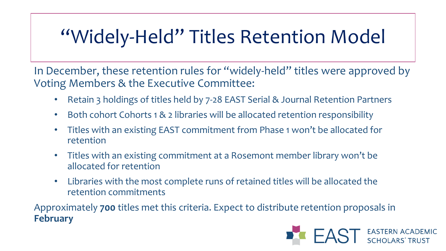# "Widely-Held" Titles Retention Model

In December, these retention rules for "widely-held" titles were approved by Voting Members & the Executive Committee:

- Retain 3 holdings of titles held by 7-28 EAST Serial & Journal Retention Partners
- Both cohort Cohorts 1 & 2 libraries will be allocated retention responsibility
- Titles with an existing EAST commitment from Phase 1 won't be allocated for retention
- Titles with an existing commitment at a Rosemont member library won't be allocated for retention
- Libraries with the most complete runs of retained titles will be allocated the retention commitments

Approximately **700** titles met this criteria. Expect to distribute retention proposals in **February**

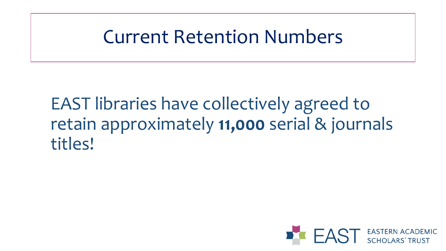#### Current Retention Numbers

#### EAST libraries have collectively agreed to retain approximately **11,000** serial & journals titles!

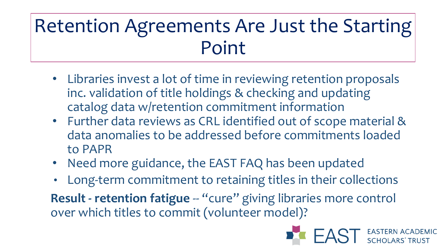## Retention Agreements Are Just the Starting Point

- Libraries invest a lot of time in reviewing retention proposals inc. validation of title holdings & checking and updating catalog data w/retention commitment information
- Further data reviews as CRL identified out of scope material & data anomalies to be addressed before commitments loaded to PAPR
- Need more guidance, the EAST FAQ has been updated
- Long-term commitment to retaining titles in their collections

**Result - retention fatigue -- "cure" giving libraries more control** over which titles to commit (volunteer model)?

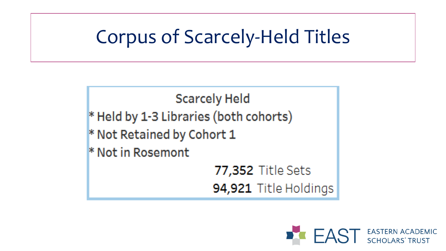### Corpus of Scarcely-Held Titles

**Scarcely Held** \* Held by 1-3 Libraries (both cohorts) \* Not Retained by Cohort 1 \* Not in Rosemont 77,352 Title Sets 94,921 Title Holdings

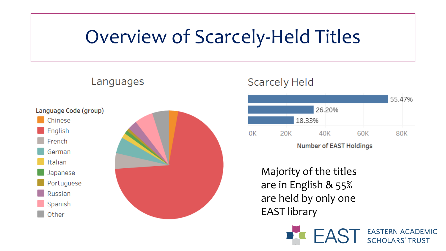#### Overview of Scarcely-Held Titles



Languages

#### **Scarcely Held**



**Number of EAST Holdings** 

Majority of the titles are in English & 55% are held by only one EAST library

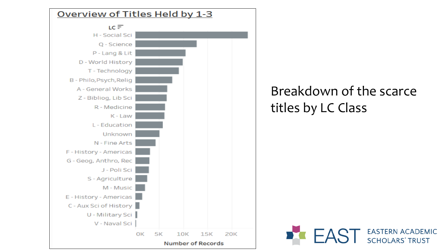

#### Breakdown of the scarce titles by LC Class

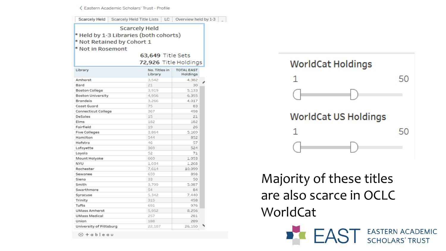← Eastern Academic Scholars' Trust - Profile

| Scarcely Held   Scarcely Held Title Lists   LC   Overview held by 1-3                                                                  |                          |                               |  |
|----------------------------------------------------------------------------------------------------------------------------------------|--------------------------|-------------------------------|--|
| <b>Scarcely Held</b><br>* Held by 1-3 Libraries (both cohorts)<br>* Not Retained by Cohort 1<br>* Not in Rosemont<br>63,649 Title Sets |                          |                               |  |
|                                                                                                                                        | 72,926 Title Holdings    |                               |  |
| Library                                                                                                                                | No. Titles in<br>Library | <b>TOTAL EAST</b><br>Holdings |  |
| Amherst                                                                                                                                | 3,542                    | 4,382                         |  |
| Bard                                                                                                                                   | 21                       | 30                            |  |
| <b>Boston College</b>                                                                                                                  | 3,919                    | 5,133                         |  |
| <b>Boston University</b>                                                                                                               | 4,956                    | 6,355                         |  |
| <b>Brandeis</b>                                                                                                                        | 3,266                    | 4.017                         |  |
| <b>Coast Guard</b>                                                                                                                     | 75                       | 83                            |  |
| <b>Connecticut College</b>                                                                                                             | 367                      | 498                           |  |
| DeSales                                                                                                                                | 15                       | 21                            |  |
| Elms                                                                                                                                   | 182                      | 182                           |  |
| Fairfield                                                                                                                              | 19                       | 26                            |  |
| <b>Five Colleges</b>                                                                                                                   | 3.864                    | 5.169                         |  |
| Hamilton                                                                                                                               | 544                      | 852                           |  |
| Hofstra                                                                                                                                | 46                       | 57                            |  |
| Lafayette                                                                                                                              | 369                      | 524                           |  |
| Loyola                                                                                                                                 | 52                       | 71                            |  |
| Mount Holyoke                                                                                                                          | 669                      | 1.053                         |  |
| <b>NYU</b>                                                                                                                             | 1.034                    | 1.268                         |  |
| Rochester                                                                                                                              | 7,614                    | 10.099                        |  |
| Sewanee                                                                                                                                | 659                      | 898                           |  |
| Siena                                                                                                                                  | 33                       | 50                            |  |
| Smith                                                                                                                                  | 3.799                    | 5.087                         |  |
| Swarthmore                                                                                                                             | 54                       | 84                            |  |
| Syracuse                                                                                                                               | 5.342                    | 7.440                         |  |
| <b>Trinity</b>                                                                                                                         | 315                      | 458                           |  |
| Tufts                                                                                                                                  | 691                      | 976                           |  |
| <b>UMass Amherst</b>                                                                                                                   | 5,952                    | 8.256                         |  |
| <b>UMass Medical</b>                                                                                                                   | 257                      | 281                           |  |
| Union                                                                                                                                  | 188                      | 289                           |  |
| University of Pittsburg                                                                                                                | 22,107                   | 26,150                        |  |
|                                                                                                                                        |                          |                               |  |

∰ + a b | e a u



**EAST** EASTERN ACADEMIC

Majority of these titles are also scarce in OCLC WorldCat

D. C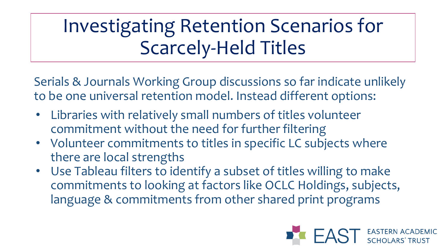# Investigating Retention Scenarios for Scarcely-Held Titles

Serials & Journals Working Group discussions so far indicate unlikely to be one universal retention model. Instead different options:

- Libraries with relatively small numbers of titles volunteer commitment without the need for further filtering
- Volunteer commitments to titles in specific LC subjects where there are local strengths
- Use Tableau filters to identify a subset of titles willing to make commitments to looking at factors like OCLC Holdings, subjects, language & commitments from other shared print programs

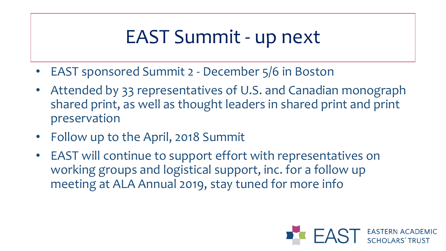#### EAST Summit - up next

- EAST sponsored Summit 2 December 5/6 in Boston
- Attended by 33 representatives of U.S. and Canadian monograph shared print, as well as thought leaders in shared print and print preservation
- Follow up to the April, 2018 Summit
- EAST will continue to support effort with representatives on working groups and logistical support, inc. for a follow up meeting at ALA Annual 2019, stay tuned for more info